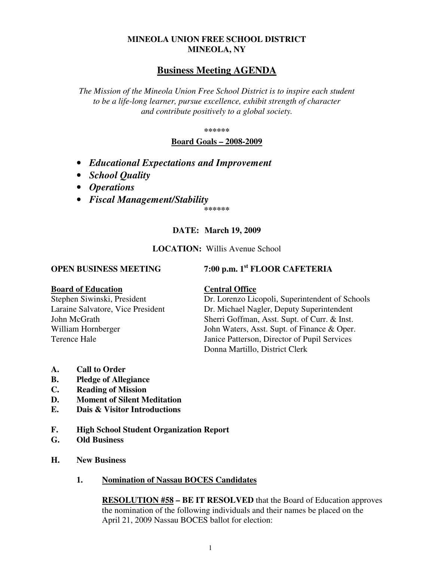# **MINEOLA UNION FREE SCHOOL DISTRICT MINEOLA, NY**

# **Business Meeting AGENDA**

*The Mission of the Mineola Union Free School District is to inspire each student to be a life-long learner, pursue excellence, exhibit strength of character and contribute positively to a global society.* 

**\*\*\*\*\*\*** 

**Board Goals – 2008-2009**

- *Educational Expectations and Improvement*
- *School Quality*
- *Operations*
- *Fiscal Management/Stability*

**\*\*\*\*\*\*** 

# **DATE: March 19, 2009**

### **LOCATION:** Willis Avenue School

# **OPEN BUSINESS MEETING 7:00 p.m. 1st FLOOR CAFETERIA**

#### **Board of Education Central Office**

Stephen Siwinski, President Dr. Lorenzo Licopoli, Superintendent of Schools Laraine Salvatore, Vice President Dr. Michael Nagler, Deputy Superintendent John McGrath Sherri Goffman, Asst. Supt. of Curr. & Inst. William Hornberger John Waters, Asst. Supt. of Finance & Oper. Terence Hale Janice Patterson, Director of Pupil Services Donna Martillo, District Clerk

- **A. Call to Order**
- **B. Pledge of Allegiance**
- **C. Reading of Mission**
- **D. Moment of Silent Meditation**
- **E. Dais & Visitor Introductions**
- **F. High School Student Organization Report**
- **G. Old Business**
- **H. New Business** 
	- **1. Nomination of Nassau BOCES Candidates**

**RESOLUTION #58 – BE IT RESOLVED** that the Board of Education approves the nomination of the following individuals and their names be placed on the April 21, 2009 Nassau BOCES ballot for election: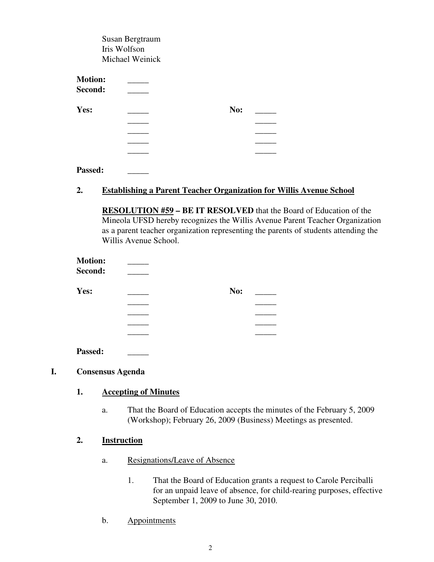|                | Susan Bergtraum |     |
|----------------|-----------------|-----|
|                | Iris Wolfson    |     |
|                | Michael Weinick |     |
| <b>Motion:</b> |                 |     |
|                |                 |     |
| Second:        |                 |     |
| Yes:           |                 | No: |
|                |                 |     |
|                |                 |     |
|                |                 |     |
|                |                 |     |
|                |                 |     |
|                |                 |     |
| Passed:        |                 |     |

# **2. Establishing a Parent Teacher Organization for Willis Avenue School**

**RESOLUTION #59 – BE IT RESOLVED** that the Board of Education of the Mineola UFSD hereby recognizes the Willis Avenue Parent Teacher Organization as a parent teacher organization representing the parents of students attending the Willis Avenue School.

| <b>Motion:</b> |     |
|----------------|-----|
| Second:        |     |
| Yes:           | No: |
|                |     |
|                |     |
|                |     |
|                |     |
| Passed:        |     |

## **I. Consensus Agenda**

## **1. Accepting of Minutes**

a. That the Board of Education accepts the minutes of the February 5, 2009 (Workshop); February 26, 2009 (Business) Meetings as presented.

## **2. Instruction**

- a. Resignations/Leave of Absence
	- 1. That the Board of Education grants a request to Carole Perciballi for an unpaid leave of absence, for child-rearing purposes, effective September 1, 2009 to June 30, 2010.
- b. Appointments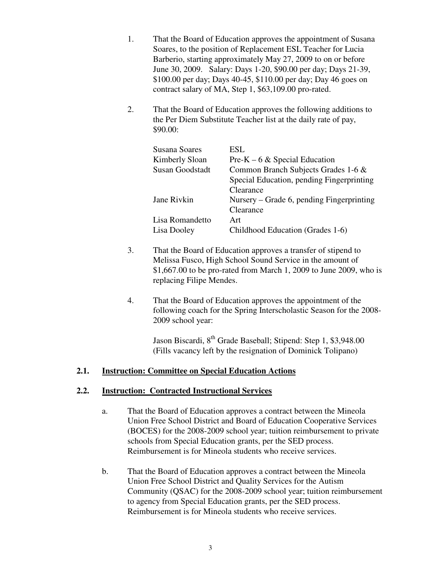- 1. That the Board of Education approves the appointment of Susana Soares, to the position of Replacement ESL Teacher for Lucia Barberio, starting approximately May 27, 2009 to on or before June 30, 2009. Salary: Days 1-20, \$90.00 per day; Days 21-39, \$100.00 per day; Days 40-45, \$110.00 per day; Day 46 goes on contract salary of MA, Step 1, \$63,109.00 pro-rated.
- 2. That the Board of Education approves the following additions to the Per Diem Substitute Teacher list at the daily rate of pay, \$90.00:

| Susana Soares          | ESL.                                      |
|------------------------|-------------------------------------------|
| Kimberly Sloan         | $Pre-K - 6 \& Special Education$          |
| <b>Susan Goodstadt</b> | Common Branch Subjects Grades 1-6 &       |
|                        | Special Education, pending Fingerprinting |
|                        | Clearance                                 |
| Jane Rivkin            | Nursery – Grade 6, pending Fingerprinting |
|                        | Clearance                                 |
| Lisa Romandetto        | Art                                       |
| Lisa Dooley            | Childhood Education (Grades 1-6)          |

- 3. That the Board of Education approves a transfer of stipend to Melissa Fusco, High School Sound Service in the amount of \$1,667.00 to be pro-rated from March 1, 2009 to June 2009, who is replacing Filipe Mendes.
- 4. That the Board of Education approves the appointment of the following coach for the Spring Interscholastic Season for the 2008- 2009 school year:

Jason Biscardi, 8<sup>th</sup> Grade Baseball; Stipend: Step 1, \$3,948.00 (Fills vacancy left by the resignation of Dominick Tolipano)

# **2.1. Instruction: Committee on Special Education Actions**

## **2.2. Instruction: Contracted Instructional Services**

- a. That the Board of Education approves a contract between the Mineola Union Free School District and Board of Education Cooperative Services (BOCES) for the 2008-2009 school year; tuition reimbursement to private schools from Special Education grants, per the SED process. Reimbursement is for Mineola students who receive services.
- b. That the Board of Education approves a contract between the Mineola Union Free School District and Quality Services for the Autism Community (QSAC) for the 2008-2009 school year; tuition reimbursement to agency from Special Education grants, per the SED process. Reimbursement is for Mineola students who receive services.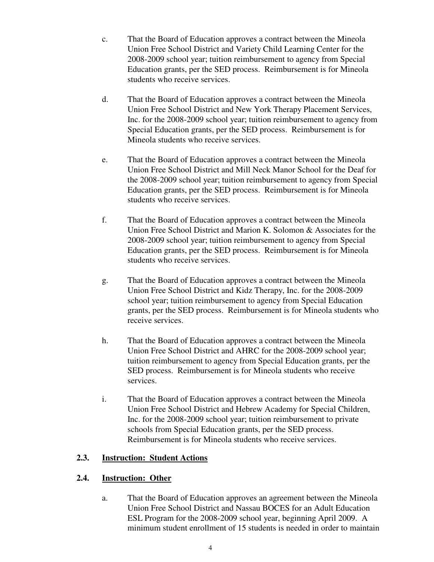- c. That the Board of Education approves a contract between the Mineola Union Free School District and Variety Child Learning Center for the 2008-2009 school year; tuition reimbursement to agency from Special Education grants, per the SED process. Reimbursement is for Mineola students who receive services.
- d. That the Board of Education approves a contract between the Mineola Union Free School District and New York Therapy Placement Services, Inc. for the 2008-2009 school year; tuition reimbursement to agency from Special Education grants, per the SED process. Reimbursement is for Mineola students who receive services.
- e. That the Board of Education approves a contract between the Mineola Union Free School District and Mill Neck Manor School for the Deaf for the 2008-2009 school year; tuition reimbursement to agency from Special Education grants, per the SED process. Reimbursement is for Mineola students who receive services.
- f. That the Board of Education approves a contract between the Mineola Union Free School District and Marion K. Solomon & Associates for the 2008-2009 school year; tuition reimbursement to agency from Special Education grants, per the SED process. Reimbursement is for Mineola students who receive services.
- g. That the Board of Education approves a contract between the Mineola Union Free School District and Kidz Therapy, Inc. for the 2008-2009 school year; tuition reimbursement to agency from Special Education grants, per the SED process. Reimbursement is for Mineola students who receive services.
- h. That the Board of Education approves a contract between the Mineola Union Free School District and AHRC for the 2008-2009 school year; tuition reimbursement to agency from Special Education grants, per the SED process. Reimbursement is for Mineola students who receive services.
- i. That the Board of Education approves a contract between the Mineola Union Free School District and Hebrew Academy for Special Children, Inc. for the 2008-2009 school year; tuition reimbursement to private schools from Special Education grants, per the SED process. Reimbursement is for Mineola students who receive services.

# **2.3. Instruction: Student Actions**

# **2.4. Instruction: Other**

a. That the Board of Education approves an agreement between the Mineola Union Free School District and Nassau BOCES for an Adult Education ESL Program for the 2008-2009 school year, beginning April 2009. A minimum student enrollment of 15 students is needed in order to maintain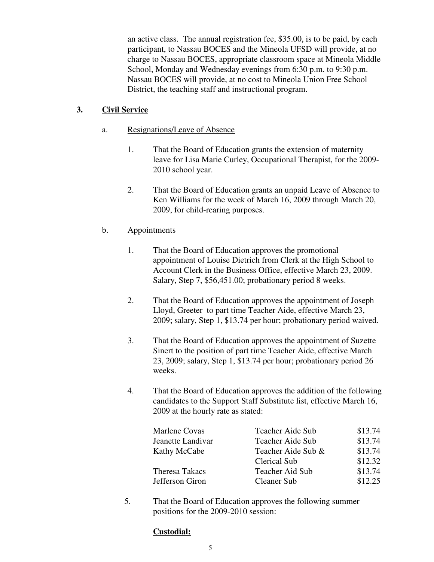an active class. The annual registration fee, \$35.00, is to be paid, by each participant, to Nassau BOCES and the Mineola UFSD will provide, at no charge to Nassau BOCES, appropriate classroom space at Mineola Middle School, Monday and Wednesday evenings from 6:30 p.m. to 9:30 p.m. Nassau BOCES will provide, at no cost to Mineola Union Free School District, the teaching staff and instructional program.

# **3. Civil Service**

# a. Resignations/Leave of Absence

- 1. That the Board of Education grants the extension of maternity leave for Lisa Marie Curley, Occupational Therapist, for the 2009- 2010 school year.
- 2. That the Board of Education grants an unpaid Leave of Absence to Ken Williams for the week of March 16, 2009 through March 20, 2009, for child-rearing purposes.

# b. Appointments

- 1. That the Board of Education approves the promotional appointment of Louise Dietrich from Clerk at the High School to Account Clerk in the Business Office, effective March 23, 2009. Salary, Step 7, \$56,451.00; probationary period 8 weeks.
- 2. That the Board of Education approves the appointment of Joseph Lloyd, Greeter to part time Teacher Aide, effective March 23, 2009; salary, Step 1, \$13.74 per hour; probationary period waived.
- 3. That the Board of Education approves the appointment of Suzette Sinert to the position of part time Teacher Aide, effective March 23, 2009; salary, Step 1, \$13.74 per hour; probationary period 26 weeks.
- 4. That the Board of Education approves the addition of the following candidates to the Support Staff Substitute list, effective March 16, 2009 at the hourly rate as stated:

| Marlene Covas         | Teacher Aide Sub    | \$13.74 |
|-----------------------|---------------------|---------|
| Jeanette Landivar     | Teacher Aide Sub    | \$13.74 |
| Kathy McCabe          | Teacher Aide Sub &  | \$13.74 |
|                       | <b>Clerical Sub</b> | \$12.32 |
| <b>Theresa Takacs</b> | Teacher Aid Sub     | \$13.74 |
| Jefferson Giron       | <b>Cleaner Sub</b>  | \$12.25 |

5. That the Board of Education approves the following summer positions for the 2009-2010 session:

# **Custodial:**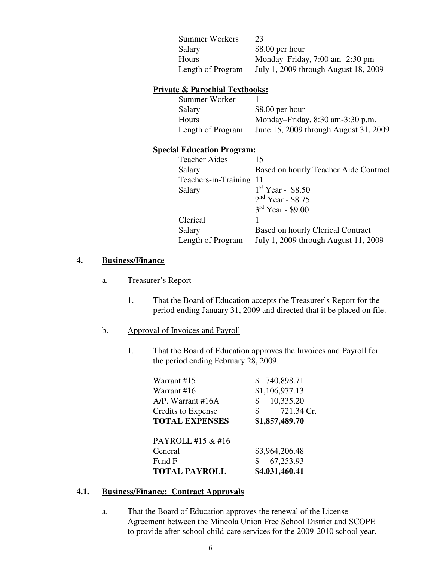| <b>Summer Workers</b> | 23                                   |
|-----------------------|--------------------------------------|
| Salary                | $$8.00$ per hour                     |
| Hours                 | Monday-Friday, $7:00$ am- $2:30$ pm  |
| Length of Program     | July 1, 2009 through August 18, 2009 |

# **Private & Parochial Textbooks:**

| Summer Worker     |                                       |
|-------------------|---------------------------------------|
| Salary            | $$8.00$ per hour                      |
| Hours             | Monday-Friday, $8:30$ am- $3:30$ p.m. |
| Length of Program | June 15, 2009 through August 31, 2009 |

# **Special Education Program:**

| <b>Teacher Aides</b>    | 15                                       |
|-------------------------|------------------------------------------|
| Salary                  | Based on hourly Teacher Aide Contract    |
| Teachers-in-Training 11 |                                          |
| Salary                  | $1st$ Year - \$8.50                      |
|                         | $2nd$ Year - \$8.75                      |
|                         | $3rd$ Year - \$9.00                      |
| Clerical                |                                          |
| Salary                  | <b>Based on hourly Clerical Contract</b> |
| Length of Program       | July 1, 2009 through August 11, 2009     |

# **4. Business/Finance**

## a. Treasurer's Report

1. That the Board of Education accepts the Treasurer's Report for the period ending January 31, 2009 and directed that it be placed on file.

# b. Approval of Invoices and Payroll

1. That the Board of Education approves the Invoices and Payroll for the period ending February 28, 2009.

| Warrant #15 |                            | \$740,898.71   |
|-------------|----------------------------|----------------|
| Warrant #16 |                            | \$1,106,977.13 |
|             | $A/P$ . Warrant #16A<br>\$ | 10,335.20      |
|             | Credits to Expense<br>\$   | 721.34 Cr.     |
|             | <b>TOTAL EXPENSES</b>      | \$1,857,489.70 |
|             | PAYROLL #15 & #16          |                |
|             |                            |                |
| General     |                            | \$3,964,206.48 |
| Fund F      | \$                         | 67,253.93      |
|             | <b>TOTAL PAYROLL</b>       | \$4,031,460.41 |

# **4.1. Business/Finance: Contract Approvals**

a. That the Board of Education approves the renewal of the License Agreement between the Mineola Union Free School District and SCOPE to provide after-school child-care services for the 2009-2010 school year.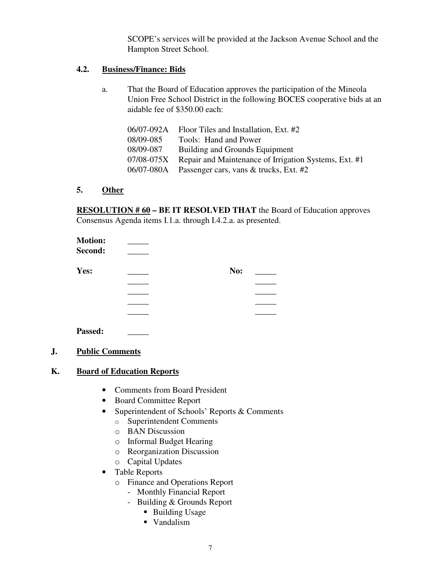SCOPE's services will be provided at the Jackson Avenue School and the Hampton Street School.

# **4.2. Business/Finance: Bids**

a. That the Board of Education approves the participation of the Mineola Union Free School District in the following BOCES cooperative bids at an aidable fee of \$350.00 each:

| 06/07-092A | Floor Tiles and Installation, Ext. #2                 |
|------------|-------------------------------------------------------|
| 08/09-085  | Tools: Hand and Power                                 |
| 08/09-087  | Building and Grounds Equipment                        |
| 07/08-075X | Repair and Maintenance of Irrigation Systems, Ext. #1 |
| 06/07-080A | Passenger cars, vans & trucks, Ext. #2                |

# **5. Other**

**RESOLUTION # 60 – BE IT RESOLVED THAT** the Board of Education approves Consensus Agenda items I.1.a. through I.4.2.a. as presented.

| No: |  |
|-----|--|
|     |  |
|     |  |
|     |  |
|     |  |
|     |  |
|     |  |

# **J. Public Comments**

Passed:

# **K. Board of Education Reports**

- Comments from Board President
- Board Committee Report
- Superintendent of Schools' Reports & Comments
	- o Superintendent Comments
	- o BAN Discussion
	- o Informal Budget Hearing
	- o Reorganization Discussion
	- o Capital Updates
- Table Reports
	- o Finance and Operations Report
		- Monthly Financial Report
		- Building & Grounds Report
			- Building Usage
			- Vandalism